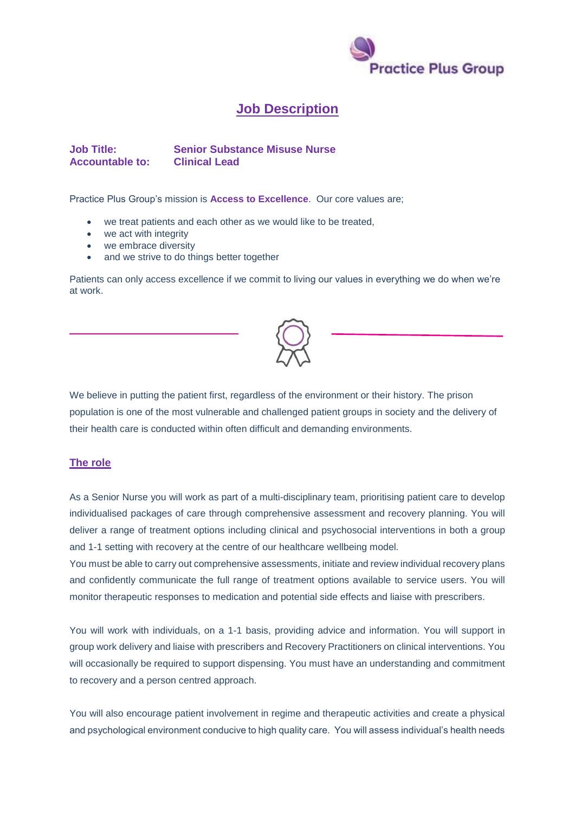

## **Job Description**

**Job Title: Senior Substance Misuse Nurse Accountable to: Clinical Lead**

Practice Plus Group's mission is **Access to Excellence**. Our core values are;

- we treat patients and each other as we would like to be treated,
- we act with integrity
- we embrace diversity
- and we strive to do things better together

Patients can only access excellence if we commit to living our values in everything we do when we're at work.



We believe in putting the patient first, regardless of the environment or their history. The prison population is one of the most vulnerable and challenged patient groups in society and the delivery of their health care is conducted within often difficult and demanding environments.

## **The role**

As a Senior Nurse you will work as part of a multi-disciplinary team, prioritising patient care to develop individualised packages of care through comprehensive assessment and recovery planning. You will deliver a range of treatment options including clinical and psychosocial interventions in both a group and 1-1 setting with recovery at the centre of our healthcare wellbeing model.

You must be able to carry out comprehensive assessments, initiate and review individual recovery plans and confidently communicate the full range of treatment options available to service users. You will monitor therapeutic responses to medication and potential side effects and liaise with prescribers.

You will work with individuals, on a 1-1 basis, providing advice and information. You will support in group work delivery and liaise with prescribers and Recovery Practitioners on clinical interventions. You will occasionally be required to support dispensing. You must have an understanding and commitment to recovery and a person centred approach.

You will also encourage patient involvement in regime and therapeutic activities and create a physical and psychological environment conducive to high quality care. You will assess individual's health needs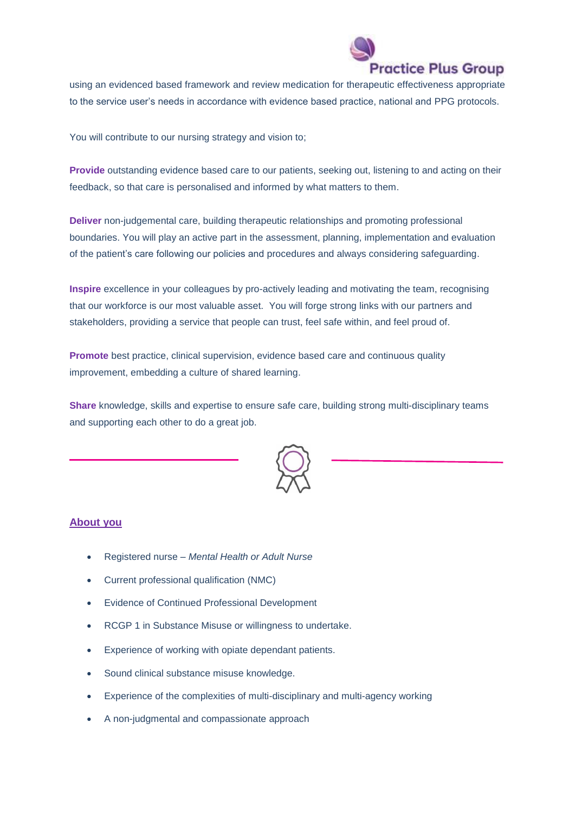

using an evidenced based framework and review medication for therapeutic effectiveness appropriate to the service user's needs in accordance with evidence based practice, national and PPG protocols.

You will contribute to our nursing strategy and vision to;

**Provide** outstanding evidence based care to our patients, seeking out, listening to and acting on their feedback, so that care is personalised and informed by what matters to them.

**Deliver** non-judgemental care, building therapeutic relationships and promoting professional boundaries. You will play an active part in the assessment, planning, implementation and evaluation of the patient's care following our policies and procedures and always considering safeguarding.

**Inspire** excellence in your colleagues by pro-actively leading and motivating the team, recognising that our workforce is our most valuable asset. You will forge strong links with our partners and stakeholders, providing a service that people can trust, feel safe within, and feel proud of.

**Promote** best practice, clinical supervision, evidence based care and continuous quality improvement, embedding a culture of shared learning.

**Share** knowledge, skills and expertise to ensure safe care, building strong multi-disciplinary teams and supporting each other to do a great job.



## **About you**

- Registered nurse *Mental Health or Adult Nurse*
- Current professional qualification (NMC)
- Evidence of Continued Professional Development
- RCGP 1 in Substance Misuse or willingness to undertake.
- Experience of working with opiate dependant patients.
- Sound clinical substance misuse knowledge.
- Experience of the complexities of multi-disciplinary and multi-agency working
- A non-judgmental and compassionate approach